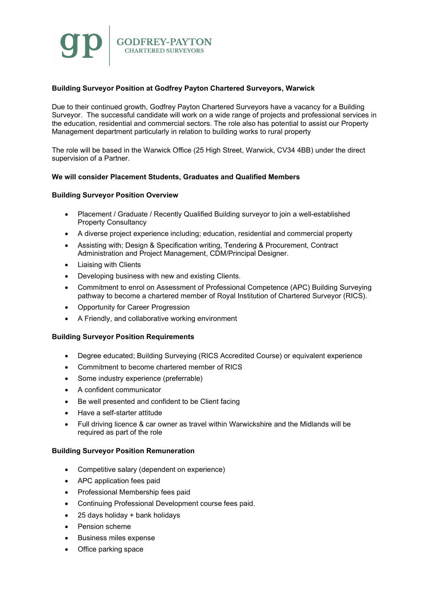# Building Surveyor Position at Godfrey Payton Chartered Surveyors, Warwick

Due to their continued growth, Godfrey Payton Chartered Surveyors have a vacancy for a Building Surveyor. The successful candidate will work on a wide range of projects and professional services in the education, residential and commercial sectors. The role also has potential to assist our Property Management department particularly in relation to building works to rural property

The role will be based in the Warwick Office (25 High Street, Warwick, CV34 4BB) under the direct supervision of a Partner.

## We will consider Placement Students, Graduates and Qualified Members

## Building Surveyor Position Overview

- Placement / Graduate / Recently Qualified Building surveyor to join a well-established Property Consultancy
- A diverse project experience including; education, residential and commercial property
- Assisting with; Design & Specification writing, Tendering & Procurement, Contract Administration and Project Management, CDM/Principal Designer.
- Liaising with Clients
- Developing business with new and existing Clients.
- Commitment to enrol on Assessment of Professional Competence (APC) Building Surveying pathway to become a chartered member of Royal Institution of Chartered Surveyor (RICS).
- Opportunity for Career Progression
- A Friendly, and collaborative working environment

#### Building Surveyor Position Requirements

- Degree educated; Building Surveying (RICS Accredited Course) or equivalent experience
- Commitment to become chartered member of RICS
- Some industry experience (preferrable)
- A confident communicator
- Be well presented and confident to be Client facing
- Have a self-starter attitude
- Full driving licence & car owner as travel within Warwickshire and the Midlands will be required as part of the role

#### Building Surveyor Position Remuneration

- Competitive salary (dependent on experience)
- APC application fees paid
- Professional Membership fees paid
- Continuing Professional Development course fees paid.
- 25 days holiday + bank holidays
- Pension scheme
- Business miles expense
- Office parking space